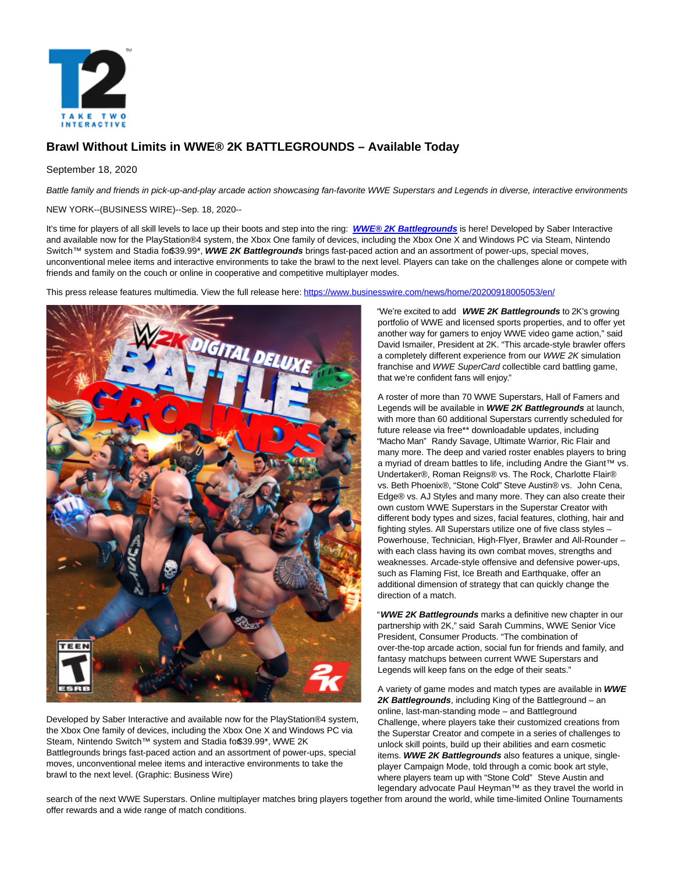

# **Brawl Without Limits in WWE® 2K BATTLEGROUNDS – Available Today**

## September 18, 2020

Battle family and friends in pick-up-and-play arcade action showcasing fan-favorite WWE Superstars and Legends in diverse, interactive environments

NEW YORK--(BUSINESS WIRE)--Sep. 18, 2020--

It's time for players of all skill levels to lace up their boots and step into the ring: **[WWE® 2K Battlegrounds](https://cts.businesswire.com/ct/CT?id=smartlink&url=https%3A%2F%2Fwwe.2k.com%2Fbattlegrounds%2F&esheet=52289382&newsitemid=20200918005053&lan=en-US&anchor=WWE%26%23174%3B+2K+Battlegrounds&index=1&md5=fe341fbb6a802ce3ffa7cd6cf8b6a668)** is here! Developed by Saber Interactive and available now for the PlayStation®4 system, the Xbox One family of devices, including the Xbox One X and Windows PC via Steam, Nintendo Switch™ system and Stadia fo\$39.99\*, WWE 2K Battlegrounds brings fast-paced action and an assortment of power-ups, special moves, unconventional melee items and interactive environments to take the brawl to the next level. Players can take on the challenges alone or compete with friends and family on the couch or online in cooperative and competitive multiplayer modes.

This press release features multimedia. View the full release here:<https://www.businesswire.com/news/home/20200918005053/en/>



Developed by Saber Interactive and available now for the PlayStation®4 system, the Xbox One family of devices, including the Xbox One X and Windows PC via Steam, Nintendo Switch™ system and Stadia fo\$39.99\*, WWE 2K Battlegrounds brings fast-paced action and an assortment of power-ups, special moves, unconventional melee items and interactive environments to take the brawl to the next level. (Graphic: Business Wire)

"We're excited to add **WWE 2K Battlegrounds** to 2K's growing portfolio of WWE and licensed sports properties, and to offer yet another way for gamers to enjoy WWE video game action," said David Ismailer, President at 2K. "This arcade-style brawler offers a completely different experience from our WWE 2K simulation franchise and WWE SuperCard collectible card battling game, that we're confident fans will enjoy."

A roster of more than 70 WWE Superstars, Hall of Famers and Legends will be available in **WWE 2K Battlegrounds** at launch, with more than 60 additional Superstars currently scheduled for future release via free\*\* downloadable updates, including "Macho Man" Randy Savage, Ultimate Warrior, Ric Flair and many more. The deep and varied roster enables players to bring a myriad of dream battles to life, including Andre the Giant™ vs. Undertaker®, Roman Reigns® vs. The Rock, Charlotte Flair® vs. Beth Phoenix®, "Stone Cold" Steve Austin® vs. John Cena, Edge® vs. AJ Styles and many more. They can also create their own custom WWE Superstars in the Superstar Creator with different body types and sizes, facial features, clothing, hair and fighting styles. All Superstars utilize one of five class styles – Powerhouse, Technician, High-Flyer, Brawler and All-Rounder – with each class having its own combat moves, strengths and weaknesses. Arcade-style offensive and defensive power-ups, such as Flaming Fist, Ice Breath and Earthquake, offer an additional dimension of strategy that can quickly change the direction of a match.

"**WWE 2K Battlegrounds** marks a definitive new chapter in our partnership with 2K," said Sarah Cummins, WWE Senior Vice President, Consumer Products. "The combination of over-the-top arcade action, social fun for friends and family, and fantasy matchups between current WWE Superstars and Legends will keep fans on the edge of their seats."

A variety of game modes and match types are available in **WWE 2K Battlegrounds**, including King of the Battleground – an online, last-man-standing mode – and Battleground Challenge, where players take their customized creations from the Superstar Creator and compete in a series of challenges to unlock skill points, build up their abilities and earn cosmetic items. **WWE 2K Battlegrounds** also features a unique, singleplayer Campaign Mode, told through a comic book art style, where players team up with "Stone Cold" Steve Austin and legendary advocate Paul Heyman™ as they travel the world in

search of the next WWE Superstars. Online multiplayer matches bring players together from around the world, while time-limited Online Tournaments offer rewards and a wide range of match conditions.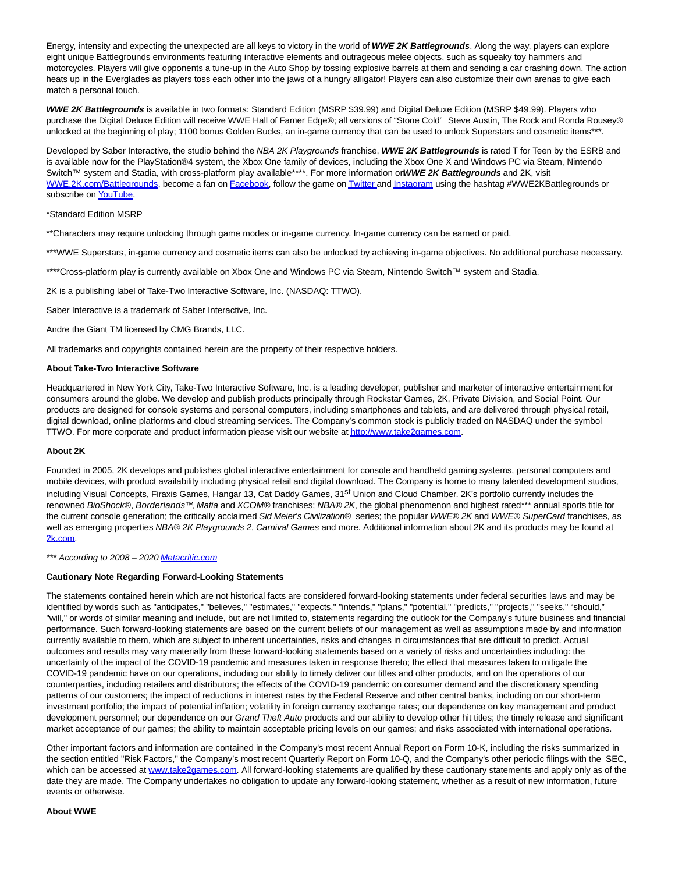Energy, intensity and expecting the unexpected are all keys to victory in the world of **WWE 2K Battlegrounds**. Along the way, players can explore eight unique Battlegrounds environments featuring interactive elements and outrageous melee objects, such as squeaky toy hammers and motorcycles. Players will give opponents a tune-up in the Auto Shop by tossing explosive barrels at them and sending a car crashing down. The action heats up in the Everglades as players toss each other into the jaws of a hungry alligator! Players can also customize their own arenas to give each match a personal touch.

**WWE 2K Battlegrounds** is available in two formats: Standard Edition (MSRP \$39.99) and Digital Deluxe Edition (MSRP \$49.99). Players who purchase the Digital Deluxe Edition will receive WWE Hall of Famer Edge®; all versions of "Stone Cold" Steve Austin, The Rock and Ronda Rousey® unlocked at the beginning of play; 1100 bonus Golden Bucks, an in-game currency that can be used to unlock Superstars and cosmetic items\*\*\*.

Developed by Saber Interactive, the studio behind the NBA 2K Playgrounds franchise, WWE 2K Battlegrounds is rated T for Teen by the ESRB and is available now for the PlayStation®4 system, the Xbox One family of devices, including the Xbox One X and Windows PC via Steam, Nintendo Switch™ system and Stadia, with cross-platform play available\*\*\*\*. For more information on **WWE 2K Battlegrounds** and 2K, visit [WWE.2K.com/Battlegrounds,](https://cts.businesswire.com/ct/CT?id=smartlink&url=https%3A%2F%2Fwwe.2k.com%2Fbattlegrounds%2F&esheet=52289382&newsitemid=20200918005053&lan=en-US&anchor=WWE.2K.com%2FBattlegrounds&index=2&md5=c853983eb1ffb4b6d41af35157c803f5) become a fan on [Facebook,](https://cts.businesswire.com/ct/CT?id=smartlink&url=https%3A%2F%2Fwww.facebook.com%2FWWE2KBattlegrounds%2F&esheet=52289382&newsitemid=20200918005053&lan=en-US&anchor=Facebook&index=3&md5=a65e69113b3f536567dde0760f6cc0aa) follow the game o[n Twitter a](https://cts.businesswire.com/ct/CT?id=smartlink&url=https%3A%2F%2Ftwitter.com%2F2kbattlegrounds&esheet=52289382&newsitemid=20200918005053&lan=en-US&anchor=Twitter&index=4&md5=01ac3da211ba329d07751694aa0c1f8e)n[d Instagram u](https://cts.businesswire.com/ct/CT?id=smartlink&url=https%3A%2F%2Fwww.instagram.com%2Fwwe2kbattlegrounds%2F&esheet=52289382&newsitemid=20200918005053&lan=en-US&anchor=Instagram&index=5&md5=2fd9a43db41b28c4cb1e649861bfca4f)sing the hashtag #WWE2KBattlegrounds or subscribe o[n YouTube.](https://cts.businesswire.com/ct/CT?id=smartlink&url=https%3A%2F%2Fwww.youtube.com%2FWWEGames&esheet=52289382&newsitemid=20200918005053&lan=en-US&anchor=YouTube&index=6&md5=2e87227299b86033569ba839372df079)

### \*Standard Edition MSRP

\*\*Characters may require unlocking through game modes or in-game currency. In-game currency can be earned or paid.

\*\*\*WWE Superstars, in-game currency and cosmetic items can also be unlocked by achieving in-game objectives. No additional purchase necessary.

\*\*\*\*Cross-platform play is currently available on Xbox One and Windows PC via Steam, Nintendo Switch™ system and Stadia.

2K is a publishing label of Take-Two Interactive Software, Inc. (NASDAQ: TTWO).

Saber Interactive is a trademark of Saber Interactive, Inc.

Andre the Giant TM licensed by CMG Brands, LLC.

All trademarks and copyrights contained herein are the property of their respective holders.

#### **About Take-Two Interactive Software**

Headquartered in New York City, Take-Two Interactive Software, Inc. is a leading developer, publisher and marketer of interactive entertainment for consumers around the globe. We develop and publish products principally through Rockstar Games, 2K, Private Division, and Social Point. Our products are designed for console systems and personal computers, including smartphones and tablets, and are delivered through physical retail, digital download, online platforms and cloud streaming services. The Company's common stock is publicly traded on NASDAQ under the symbol TTWO. For more corporate and product information please visit our website a[t http://www.take2games.com.](https://cts.businesswire.com/ct/CT?id=smartlink&url=http%3A%2F%2Fwww.take2games.com&esheet=52289382&newsitemid=20200918005053&lan=en-US&anchor=http%3A%2F%2Fwww.take2games.com&index=7&md5=4b1f444af81fbf762850641f29fb0b6c)

#### **About 2K**

Founded in 2005, 2K develops and publishes global interactive entertainment for console and handheld gaming systems, personal computers and mobile devices, with product availability including physical retail and digital download. The Company is home to many talented development studios, including Visual Concepts, Firaxis Games, Hangar 13, Cat Daddy Games, 31<sup>st</sup> Union and Cloud Chamber. 2K's portfolio currently includes the renowned BioShock®, Borderlands™, Mafia and XCOM® franchises; NBA® 2K, the global phenomenon and highest rated\*\*\* annual sports title for the current console generation; the critically acclaimed Sid Meier's Civilization® series; the popular WWE® 2K and WWE® SuperCard franchises, as well as emerging properties NBA® 2K Playgrounds 2, Carnival Games and more. Additional information about 2K and its products may be found at [2k.com.](https://cts.businesswire.com/ct/CT?id=smartlink&url=http%3A%2F%2Fwww.2k.com%2F&esheet=52289382&newsitemid=20200918005053&lan=en-US&anchor=2k.com&index=8&md5=c0f148ec679029c42dab0d88d0fce3c3)

\*\*\* According to 2008 - 2020 [Metacritic.com](https://cts.businesswire.com/ct/CT?id=smartlink&url=https%3A%2F%2Fwww.metacritic.com%2F&esheet=52289382&newsitemid=20200918005053&lan=en-US&anchor=Metacritic.com&index=9&md5=435e20f727a81454f5a0cbbd264fb87d)

#### **Cautionary Note Regarding Forward-Looking Statements**

The statements contained herein which are not historical facts are considered forward-looking statements under federal securities laws and may be identified by words such as "anticipates," "believes," "estimates," "expects," "intends," "plans," "potential," "predicts," "projects," "seeks," "should," "will," or words of similar meaning and include, but are not limited to, statements regarding the outlook for the Company's future business and financial performance. Such forward-looking statements are based on the current beliefs of our management as well as assumptions made by and information currently available to them, which are subject to inherent uncertainties, risks and changes in circumstances that are difficult to predict. Actual outcomes and results may vary materially from these forward-looking statements based on a variety of risks and uncertainties including: the uncertainty of the impact of the COVID-19 pandemic and measures taken in response thereto; the effect that measures taken to mitigate the COVID-19 pandemic have on our operations, including our ability to timely deliver our titles and other products, and on the operations of our counterparties, including retailers and distributors; the effects of the COVID-19 pandemic on consumer demand and the discretionary spending patterns of our customers; the impact of reductions in interest rates by the Federal Reserve and other central banks, including on our short-term investment portfolio; the impact of potential inflation; volatility in foreign currency exchange rates; our dependence on key management and product development personnel; our dependence on our Grand Theft Auto products and our ability to develop other hit titles; the timely release and significant market acceptance of our games; the ability to maintain acceptable pricing levels on our games; and risks associated with international operations.

Other important factors and information are contained in the Company's most recent Annual Report on Form 10-K, including the risks summarized in the section entitled "Risk Factors," the Company's most recent Quarterly Report on Form 10-Q, and the Company's other periodic filings with the SEC, which can be accessed at [www.take2games.com.](https://cts.businesswire.com/ct/CT?id=smartlink&url=http%3A%2F%2Fwww.take2games.com&esheet=52289382&newsitemid=20200918005053&lan=en-US&anchor=www.take2games.com&index=10&md5=1ef502f3dccc6727d5b6f73a1415e7c3) All forward-looking statements are qualified by these cautionary statements and apply only as of the date they are made. The Company undertakes no obligation to update any forward-looking statement, whether as a result of new information, future events or otherwise.

#### **About WWE**